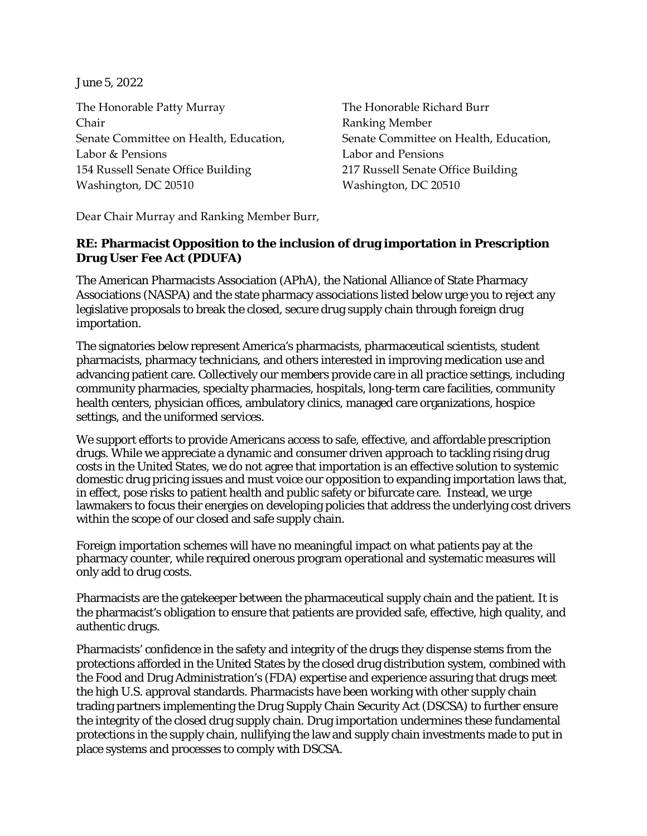June 5, 2022

The Honorable Patty Murray The Honorable Richard Burr Chair Ranking Member Labor & Pensions Labor and Pensions 154 Russell Senate Office Building 217 Russell Senate Office Building Washington, DC 20510 Washington, DC 20510

Senate Committee on Health, Education, Senate Committee on Health, Education,

Dear Chair Murray and Ranking Member Burr,

## **RE: Pharmacist Opposition to the inclusion of drug importation in Prescription Drug User Fee Act (PDUFA)**

The American Pharmacists Association (APhA), the National Alliance of State Pharmacy Associations (NASPA) and the state pharmacy associations listed below urge you to reject any legislative proposals to break the closed, secure drug supply chain through foreign drug importation.

The signatories below represent America's pharmacists, pharmaceutical scientists, student pharmacists, pharmacy technicians, and others interested in improving medication use and advancing patient care. Collectively our members provide care in all practice settings, including community pharmacies, specialty pharmacies, hospitals, long-term care facilities, community health centers, physician offices, ambulatory clinics, managed care organizations, hospice settings, and the uniformed services.

We support efforts to provide Americans access to safe, effective, and affordable prescription drugs. While we appreciate a dynamic and consumer driven approach to tackling rising drug costs in the United States, we do not agree that importation is an effective solution to systemic domestic drug pricing issues and must voice our opposition to expanding importation laws that, in effect, pose risks to patient health and public safety or bifurcate care. Instead, we urge lawmakers to focus their energies on developing policies that address the underlying cost drivers within the scope of our closed and safe supply chain.

Foreign importation schemes will have no meaningful impact on what patients pay at the pharmacy counter, while required onerous program operational and systematic measures will only add to drug costs.

Pharmacists are the gatekeeper between the pharmaceutical supply chain and the patient. It is the pharmacist's obligation to ensure that patients are provided safe, effective, high quality, and authentic drugs.

Pharmacists' confidence in the safety and integrity of the drugs they dispense stems from the protections afforded in the United States by the closed drug distribution system, combined with the Food and Drug Administration's (FDA) expertise and experience assuring that drugs meet the high U.S. approval standards. Pharmacists have been working with other supply chain trading partners implementing the Drug Supply Chain Security Act (DSCSA) to further ensure the integrity of the closed drug supply chain. Drug importation undermines these fundamental protections in the supply chain, nullifying the law and supply chain investments made to put in place systems and processes to comply with DSCSA.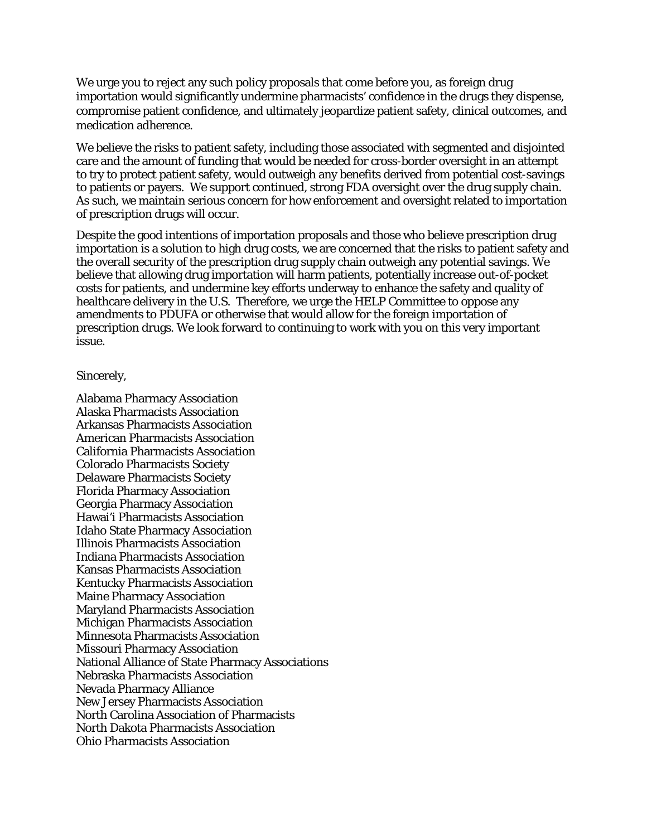We urge you to reject any such policy proposals that come before you, as foreign drug importation would significantly undermine pharmacists' confidence in the drugs they dispense, compromise patient confidence, and ultimately jeopardize patient safety, clinical outcomes, and medication adherence.

We believe the risks to patient safety, including those associated with segmented and disjointed care and the amount of funding that would be needed for cross-border oversight in an attempt to try to protect patient safety, would outweigh any benefits derived from potential cost-savings to patients or payers. We support continued, strong FDA oversight over the drug supply chain. As such, we maintain serious concern for how enforcement and oversight related to importation of prescription drugs will occur.

Despite the good intentions of importation proposals and those who believe prescription drug importation is a solution to high drug costs, we are concerned that the risks to patient safety and the overall security of the prescription drug supply chain outweigh any potential savings. We believe that allowing drug importation will harm patients, potentially increase out-of-pocket costs for patients, and undermine key efforts underway to enhance the safety and quality of healthcare delivery in the U.S. Therefore, we urge the HELP Committee to oppose any amendments to PDUFA or otherwise that would allow for the foreign importation of prescription drugs. We look forward to continuing to work with you on this very important issue.

## Sincerely,

Alabama Pharmacy Association Alaska Pharmacists Association Arkansas Pharmacists Association American Pharmacists Association California Pharmacists Association Colorado Pharmacists Society Delaware Pharmacists Society Florida Pharmacy Association Georgia Pharmacy Association Hawai'i Pharmacists Association Idaho State Pharmacy Association Illinois Pharmacists Association Indiana Pharmacists Association Kansas Pharmacists Association Kentucky Pharmacists Association Maine Pharmacy Association Maryland Pharmacists Association Michigan Pharmacists Association Minnesota Pharmacists Association Missouri Pharmacy Association National Alliance of State Pharmacy Associations Nebraska Pharmacists Association Nevada Pharmacy Alliance New Jersey Pharmacists Association North Carolina Association of Pharmacists North Dakota Pharmacists Association Ohio Pharmacists Association